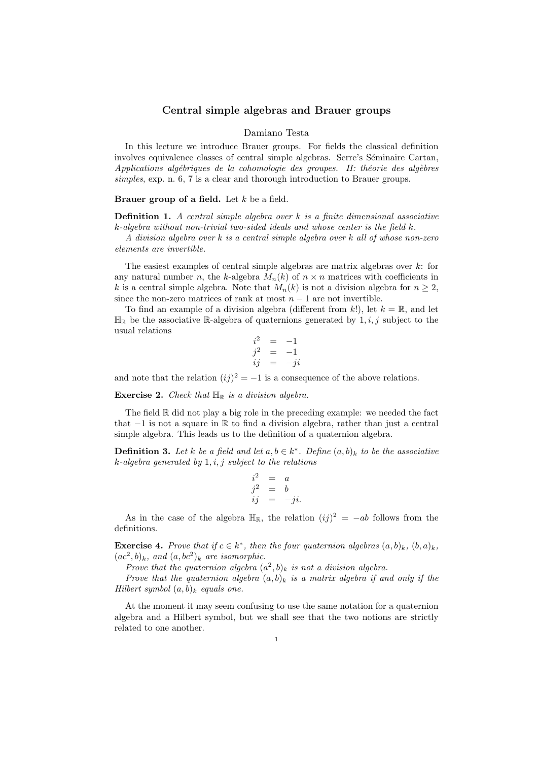## Central simple algebras and Brauer groups

## Damiano Testa

In this lecture we introduce Brauer groups. For fields the classical definition involves equivalence classes of central simple algebras. Serre's Séminaire Cartan,  $Applications$  algébriques de la cohomologie des groupes. II: théorie des algèbres simples, exp. n. 6, 7 is a clear and thorough introduction to Brauer groups.

## Brauer group of a field. Let  $k$  be a field.

**Definition 1.** A central simple algebra over  $k$  is a finite dimensional associative k-algebra without non-trivial two-sided ideals and whose center is the field k.

A division algebra over k is a central simple algebra over k all of whose non-zero elements are invertible.

The easiest examples of central simple algebras are matrix algebras over  $k$ : for any natural number n, the k-algebra  $M_n(k)$  of  $n \times n$  matrices with coefficients in k is a central simple algebra. Note that  $M_n(k)$  is not a division algebra for  $n \geq 2$ , since the non-zero matrices of rank at most  $n-1$  are not invertible.

To find an example of a division algebra (different from k!), let  $k = \mathbb{R}$ , and let  $\mathbb{H}_{\mathbb{R}}$  be the associative R-algebra of quaternions generated by  $1, i, j$  subject to the usual relations

$$
\begin{array}{rcl}\ni^2 & = & -1 \\
j^2 & = & -1 \\
ij & = & -ji\n\end{array}
$$

and note that the relation  $(ij)^2 = -1$  is a consequence of the above relations.

**Exercise 2.** Check that  $\mathbb{H}_{\mathbb{R}}$  is a division algebra.

The field R did not play a big role in the preceding example: we needed the fact that −1 is not a square in R to find a division algebra, rather than just a central simple algebra. This leads us to the definition of a quaternion algebra.

**Definition 3.** Let k be a field and let  $a, b \in k^*$ . Define  $(a, b)_k$  to be the associative  $k$ -algebra generated by  $1, i, j$  subject to the relations

$$
\begin{array}{rcl}\ni^2 & = & a \\
j^2 & = & b \\
ij & = & -ji.\n\end{array}
$$

As in the case of the algebra  $\mathbb{H}_{\mathbb{R}}$ , the relation  $(ij)^2 = -ab$  follows from the definitions.

**Exercise 4.** Prove that if  $c \in k^*$ , then the four quaternion algebras  $(a, b)_k$ ,  $(b, a)_k$ ,  $(ac^2, b)_k$ , and  $(a, bc^2)_k$  are isomorphic.

Prove that the quaternion algebra  $(a^2, b)_k$  is not a division algebra.

Prove that the quaternion algebra  $(a, b)_k$  is a matrix algebra if and only if the Hilbert symbol  $(a, b)_k$  equals one.

At the moment it may seem confusing to use the same notation for a quaternion algebra and a Hilbert symbol, but we shall see that the two notions are strictly related to one another.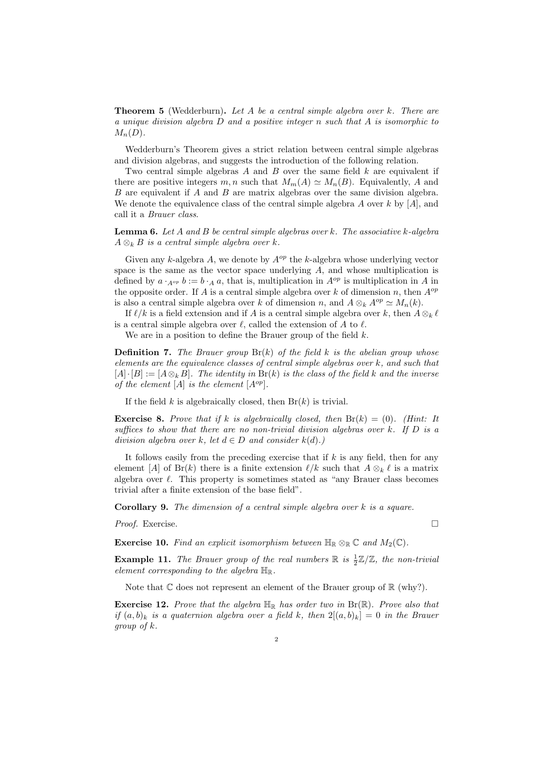**Theorem 5** (Wedderburn). Let A be a central simple algebra over  $k$ . There are a unique division algebra D and a positive integer n such that A is isomorphic to  $M_n(D)$ .

Wedderburn's Theorem gives a strict relation between central simple algebras and division algebras, and suggests the introduction of the following relation.

Two central simple algebras  $A$  and  $B$  over the same field  $k$  are equivalent if there are positive integers m, n such that  $M_m(A) \simeq M_n(B)$ . Equivalently, A and B are equivalent if A and B are matrix algebras over the same division algebra. We denote the equivalence class of the central simple algebra A over  $k$  by [A], and call it a Brauer class.

**Lemma 6.** Let  $A$  and  $B$  be central simple algebras over  $k$ . The associative  $k$ -algebra  $A \otimes_k B$  is a central simple algebra over k.

Given any k-algebra A, we denote by  $A^{op}$  the k-algebra whose underlying vector space is the same as the vector space underlying  $A$ , and whose multiplication is defined by  $a \cdot_{A^{op}} b := b \cdot_A a$ , that is, multiplication in  $A^{op}$  is multiplication in A in the opposite order. If A is a central simple algebra over k of dimension n, then  $A^{op}$ is also a central simple algebra over k of dimension n, and  $A \otimes_k A^{op} \simeq M_n(k)$ .

If  $\ell/k$  is a field extension and if A is a central simple algebra over k, then  $A \otimes_k \ell$ is a central simple algebra over  $\ell$ , called the extension of A to  $\ell$ .

We are in a position to define the Brauer group of the field k.

**Definition 7.** The Brauer group  $Br(k)$  of the field k is the abelian group whose elements are the equivalence classes of central simple algebras over k, and such that  $[A] \cdot [B] := [A \otimes_k B]$ . The identity in  $Br(k)$  is the class of the field k and the inverse of the element  $[A]$  is the element  $[A^{op}]$ .

If the field  $k$  is algebraically closed, then  $Br(k)$  is trivial.

**Exercise 8.** Prove that if k is algebraically closed, then  $Br(k) = (0)$ . (Hint: It suffices to show that there are no non-trivial division algebras over  $k$ . If  $D$  is a division algebra over k, let  $d \in D$  and consider  $k(d)$ .)

It follows easily from the preceding exercise that if  $k$  is any field, then for any element [A] of Br(k) there is a finite extension  $\ell/k$  such that  $A \otimes_k \ell$  is a matrix algebra over  $\ell$ . This property is sometimes stated as "any Brauer class becomes trivial after a finite extension of the base field".

Corollary 9. The dimension of a central simple algebra over k is a square.

Proof. Exercise. □

**Exercise 10.** Find an explicit isomorphism between  $\mathbb{H}_{\mathbb{R}} \otimes_{\mathbb{R}} \mathbb{C}$  and  $M_2(\mathbb{C})$ .

**Example 11.** The Brauer group of the real numbers  $\mathbb{R}$  is  $\frac{1}{2}\mathbb{Z}/\mathbb{Z}$ , the non-trivial element corresponding to the algebra  $\mathbb{H}_{\mathbb{R}}$ .

Note that  $\mathbb C$  does not represent an element of the Brauer group of  $\mathbb R$  (why?).

**Exercise 12.** Prove that the algebra  $\mathbb{H}_{\mathbb{R}}$  has order two in  $\text{Br}(\mathbb{R})$ . Prove also that if  $(a, b)_k$  is a quaternion algebra over a field k, then  $2[(a, b)_k] = 0$  in the Brauer group of k.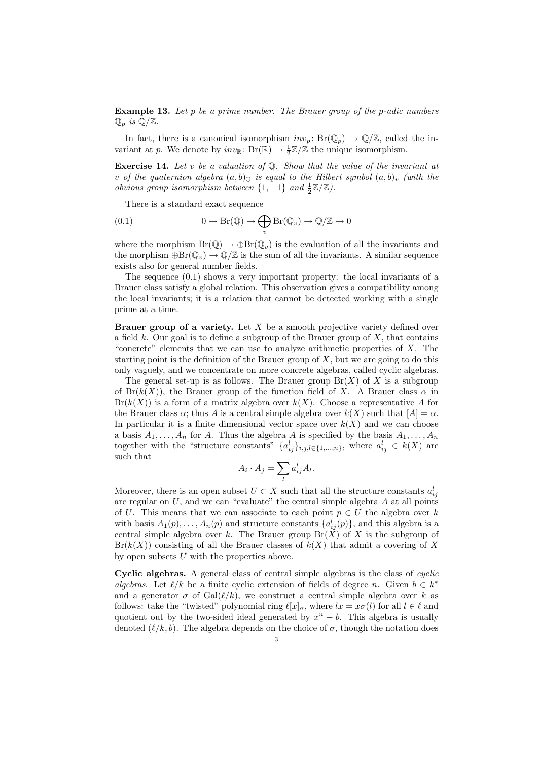**Example 13.** Let p be a prime number. The Brauer group of the p-adic numbers  $\mathbb{Q}_p$  is  $\mathbb{Q}/\mathbb{Z}$ .

In fact, there is a canonical isomorphism  $inv_p: Br(\mathbb{Q}_p) \to \mathbb{Q}/\mathbb{Z}$ , called the invariant at p. We denote by  $inv_{\mathbb{R}}: \text{Br}(\mathbb{R}) \to \frac{1}{2}\mathbb{Z}/\mathbb{Z}$  the unique isomorphism.

**Exercise 14.** Let v be a valuation of  $\mathbb{Q}$ . Show that the value of the invariant at v of the quaternion algebra  $(a, b)$ <sub>Q</sub> is equal to the Hilbert symbol  $(a, b)$ <sub>v</sub> (with the obvious group isomorphism between  $\{1, -1\}$  and  $\frac{1}{2}\mathbb{Z}/\mathbb{Z}$ ).

There is a standard exact sequence

(0.1) 
$$
0 \to Br(\mathbb{Q}) \to \bigoplus_{v} Br(\mathbb{Q}_{v}) \to \mathbb{Q}/\mathbb{Z} \to 0
$$

where the morphism  $Br(\mathbb{Q}) \to \bigoplus F(\mathbb{Q}_v)$  is the evaluation of all the invariants and the morphism  $\bigoplus$   $\text{Br}(\mathbb{Q}_v) \to \mathbb{Q}/\mathbb{Z}$  is the sum of all the invariants. A similar sequence exists also for general number fields.

The sequence (0.1) shows a very important property: the local invariants of a Brauer class satisfy a global relation. This observation gives a compatibility among the local invariants; it is a relation that cannot be detected working with a single prime at a time.

**Brauer group of a variety.** Let  $X$  be a smooth projective variety defined over a field  $k$ . Our goal is to define a subgroup of the Brauer group of  $X$ , that contains "concrete" elements that we can use to analyze arithmetic properties of  $X$ . The starting point is the definition of the Brauer group of  $X$ , but we are going to do this only vaguely, and we concentrate on more concrete algebras, called cyclic algebras.

The general set-up is as follows. The Brauer group  $Br(X)$  of X is a subgroup of  $Br(k(X))$ , the Brauer group of the function field of X. A Brauer class  $\alpha$  in  $Br(k(X))$  is a form of a matrix algebra over  $k(X)$ . Choose a representative A for the Brauer class  $\alpha$ ; thus A is a central simple algebra over  $k(X)$  such that  $[A] = \alpha$ . In particular it is a finite dimensional vector space over  $k(X)$  and we can choose a basis  $A_1, \ldots, A_n$  for A. Thus the algebra A is specified by the basis  $A_1, \ldots, A_n$ together with the "structure constants"  $\{a_{ij}^l\}_{i,j,l\in\{1,\ldots,n\}}$ , where  $a_{ij}^l \in k(X)$  are such that

$$
A_i \cdot A_j = \sum_l a_{ij}^l A_l.
$$

Moreover, there is an open subset  $U \subset X$  such that all the structure constants  $a_{ij}^l$ are regular on  $U$ , and we can "evaluate" the central simple algebra  $A$  at all points of U. This means that we can associate to each point  $p \in U$  the algebra over k with basis  $A_1(p), \ldots, A_n(p)$  and structure constants  $\{a_{ij}^l(p)\}\$ , and this algebra is a central simple algebra over k. The Brauer group  $Br(X)$  of X is the subgroup of  $Br(k(X))$  consisting of all the Brauer classes of  $k(X)$  that admit a covering of X by open subsets  $U$  with the properties above.

Cyclic algebras. A general class of central simple algebras is the class of cyclic algebras. Let  $\ell/k$  be a finite cyclic extension of fields of degree n. Given  $b \in k^*$ and a generator  $\sigma$  of  $Gal(\ell/k)$ , we construct a central simple algebra over k as follows: take the "twisted" polynomial ring  $\ell[x]_{\sigma}$ , where  $lx = x\sigma(l)$  for all  $l \in \ell$  and quotient out by the two-sided ideal generated by  $x<sup>n</sup> - b$ . This algebra is usually denoted  $(\ell/k, b)$ . The algebra depends on the choice of  $\sigma$ , though the notation does